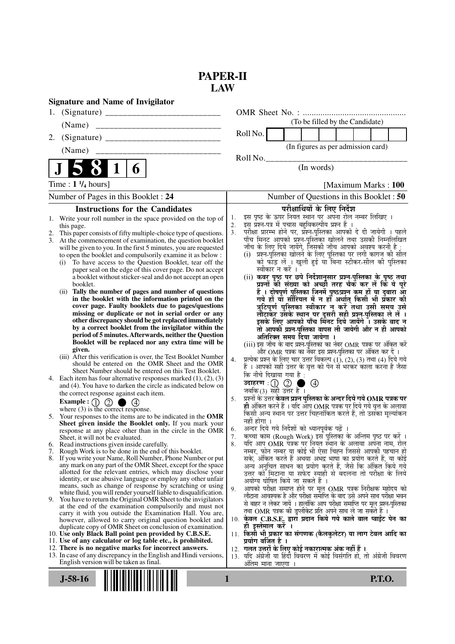# **PAPER-II LAW**

|    | <b>Signature and Name of Invigilator</b>                                                                                       |          |                                                                                                                                    |
|----|--------------------------------------------------------------------------------------------------------------------------------|----------|------------------------------------------------------------------------------------------------------------------------------------|
|    |                                                                                                                                |          |                                                                                                                                    |
|    | (Name)                                                                                                                         |          | (To be filled by the Candidate)                                                                                                    |
| 2. |                                                                                                                                |          | Roll No.                                                                                                                           |
|    |                                                                                                                                |          | (In figures as per admission card)                                                                                                 |
|    |                                                                                                                                |          | Roll No.                                                                                                                           |
|    | $\mathbf 1$<br>6                                                                                                               |          | (In words)                                                                                                                         |
|    | Time : $1 \frac{1}{4}$ hours]                                                                                                  |          | [Maximum Marks: 100                                                                                                                |
|    | Number of Pages in this Booklet : 24                                                                                           |          | Number of Questions in this Booklet : 50                                                                                           |
|    | <b>Instructions for the Candidates</b>                                                                                         |          | परीक्षार्थियों के लिए निर्देश                                                                                                      |
|    | 1. Write your roll number in the space provided on the top of                                                                  | 1.       | इस पृष्ठ के ऊपर नियत स्थान पर अपना रोल नम्बर लिखिए ।                                                                               |
|    | this page.                                                                                                                     | 2.<br>3. | इस प्रश्न-पत्र में पचास बहुविकल्पीय प्रश्न हैं ।<br>परीक्षा प्रारम्भ होने पर, प्रॅश्न-पुस्तिका आपको दे दी जायेगी । पहले            |
| 2. | This paper consists of fifty multiple-choice type of questions.<br>3. At the commencement of examination, the question booklet |          | पाँच मिनट आपको प्रश्न-पुस्तिका खोलने तथा उसकी निम्नलिखित                                                                           |
|    | will be given to you. In the first 5 minutes, you are requested                                                                |          | जाँच के लिए दिये जायेंगे, जिसकी जाँच आपको अवश्य करनी है :                                                                          |
|    | to open the booklet and compulsorily examine it as below :<br>To have access to the Question Booklet, tear off the<br>(i)      |          | (i) प्रश्न-पुस्तिका खोलने के लिए पुस्तिका पर लगी कागज की सील<br>को फाँड़ लें । खुली हुई या बिना स्टीकर-सील की पुस्तिका             |
|    | paper seal on the edge of this cover page. Do not accept                                                                       |          | स्वीकार न करें ।                                                                                                                   |
|    | a booklet without sticker-seal and do not accept an open                                                                       |          | (ii) कवर पृष्ठ पर छपे निर्देशानुसार प्रश्न-पुस्तिका के पृष्ठ तथा                                                                   |
|    | booklet.<br>Tally the number of pages and number of questions<br>(ii)                                                          |          | प्रश्नों की संख्या को अच्छी तरह चैक कर लें कि ये पूरे<br>हैं । दोषपूर्ण पुस्तिका जि़नमें पृष्ठ/प्रश्न कम हों या दुबारा आ़्रे       |
|    | in the booklet with the information printed on the                                                                             |          | गये हों या सीरियल में न हों अर्थात् किसी भी प्रकार की                                                                              |
|    | cover page. Faulty booklets due to pages/questions<br>missing or duplicate or not in serial order or any                       |          | त्रुटिपूर्ण पुस्तिका स्वीकार न करें तथा उसी समय उसे                                                                                |
|    | other discrepancy should be got replaced immediately                                                                           |          | लौटाकेर उसके स्थान पर दूसरी सही प्रश्न-पुस्तिका ले लें।<br>इसके लिए आपको पाँच मिनट दिये जायेंगे ँ। उसके बाद न                      |
|    | by a correct booklet from the invigilator within the                                                                           |          | तो आपकी प्रश्न-पुस्तिका वापस ली जायेगी और न ही आपको                                                                                |
|    | period of 5 minutes. Afterwards, neither the Question<br>Booklet will be replaced nor any extra time will be                   |          | अतिरिक्त समय दिया जायेगा ।                                                                                                         |
|    | given.                                                                                                                         |          | (iii) इस जाँच के बाद प्रश्न-पुस्तिका का नंबर OMR पत्रक पर अंकित करें<br>और OMR पत्रक का नंबर इस प्रश्न-पुस्तिका पर अंकित कर दें ।  |
|    | (iii) After this verification is over, the Test Booklet Number                                                                 | 4.       | प्रत्येक प्रश्न के लिए चार उत्तर विकल्प (1), (2), (3) तथा (4) दिये गये                                                             |
|    | should be entered on the OMR Sheet and the OMR<br>Sheet Number should be entered on this Test Booklet.                         |          | हैं । आपको सही उत्तर के वृत्त को पेन से भरकर काला करना है जैसा<br>कि नीचे दिखाया गया है:                                           |
|    | 4. Each item has four alternative responses marked $(1)$ , $(2)$ , $(3)$                                                       |          | उदाहरण $\pm$ ( $\pm$ ) $\pm$<br>$\circledcirc$                                                                                     |
|    | and (4). You have to darken the circle as indicated below on<br>the correct response against each item.                        |          | जबकि (3) सही उत्तर है ।                                                                                                            |
|    | Example: $\bigcirc$ $\bigcirc$ $\bigcirc$ $\bigcirc$ $\bigcirc$                                                                | 5.       | प्रश्नों के उत्तर <b>केवल प्रश्न पुस्तिका के अन्दर दिये गये OMR पत्रक पर</b>                                                       |
|    | where $(3)$ is the correct response.                                                                                           |          | ही अंकित करने हैं । यदि ऑप OMR पत्रक पर दिये गये वृत्त के अलावा<br>किसी अन्य स्थान पर उत्तर चिह्नांकित करते हैं, तो उसका मूल्यांकन |
|    | 5. Your responses to the items are to be indicated in the OMR<br>Sheet given inside the Booklet only. If you mark your         |          | नहीं होगा ।                                                                                                                        |
|    | response at any place other than in the circle in the OMR                                                                      | 6.       | अन्दर दिये गये निर्देशों को ध्यानपूर्वक पढ़ें ।                                                                                    |
| b. | Sheet, it will not be evaluated.<br>Read instructions given inside carefully.                                                  | 7.<br>8. | कच्चा काम (Rough Work) इस पुस्तिका के अन्तिम पृष्ठ पर करें ।<br>र्याद आप OMR पत्रक पर नियत स्थान के अलावा अपना नाम, रोल            |
| 7. | Rough Work is to be done in the end of this booklet.                                                                           |          | नम्बर, फोन नम्बर या कोई भी ऐसा चिह्न जिससे आपकी पहचान हो                                                                           |
|    | 8. If you write your Name, Roll Number, Phone Number or put<br>any mark on any part of the OMR Sheet, except for the space     |          | सके, अंकित करते हैं अथवा अभद्र भाषा का प्रयोग करते हैं, या कोई<br>अन्य अनुचित साधन का प्रयोग करते हैं, जैसे कि अंकित किये गये      |
|    | allotted for the relevant entries, which may disclose your                                                                     |          | उत्तर को मिटाना या सफेद स्याही से बदलना तो परीक्षा के लिये                                                                         |
|    | identity, or use abusive language or employ any other unfair                                                                   |          | अयोग्य घोषित किये जा सकते हैं ।                                                                                                    |
|    | means, such as change of response by scratching or using<br>white fluid, you will render yourself liable to disqualification.  | 9.       | आपको परीक्षा समाप्त होने पर मूल OMR पत्रक निरीक्षक महोदय को<br>लौटाना आवश्यक है और परीक्षा समाप्ति के बाद उसे अपने साथ परीक्षा भवन |
|    | 9. You have to return the Original OMR Sheet to the invigilators                                                               |          | से बाहर न लेकर जायें । हालांकि आप परीक्षा समाप्ति पर मूल प्रश्न-पुस्तिका                                                           |
|    | at the end of the examination compulsorily and must not<br>carry it with you outside the Examination Hall. You are,            |          | तथा OMR पत्रक की डुप्लीकेट प्रति अपने साथ ले जा सकते हैं ।                                                                         |
|    | however, allowed to carry original question booklet and                                                                        |          | 10. केवल C.B.S.E. द्वारा प्रदान किये गये काले बाल प्वाईंट पेन का<br>ही इस्तेमाल करें ।                                             |
|    | duplicate copy of OMR Sheet on conclusion of examination.<br>10. Use only Black Ball point pen provided by C.B.S.E.            |          | 11. किसी भी प्रकार का संगणक (कैलकुलेटर) या लाग टेबल आदि का                                                                         |
|    | 11. Use of any calculator or log table etc., is prohibited.                                                                    |          | प्रयोग वर्जित है ।                                                                                                                 |
|    | 12. There is no negative marks for incorrect answers.<br>13. In case of any discrepancy in the English and Hindi versions,     |          | 12.  गलत उत्तरों के लिए कोई नकारात्मक अंक नहीं हैं ।<br>13. यदि अंग्रेजी या हिंदी विवरण में कोई विसंगति हो, तो अंग्रेजी विवरण      |
|    | English version will be taken as final.                                                                                        |          | अंतिम माना जाएगा ।                                                                                                                 |
|    |                                                                                                                                |          |                                                                                                                                    |
|    | $J-58-16$                                                                                                                      | 1        | <b>P.T.O.</b>                                                                                                                      |
|    |                                                                                                                                |          |                                                                                                                                    |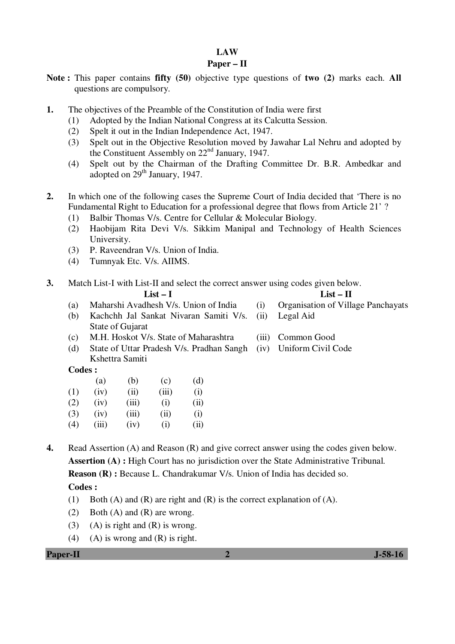# **LAW**

### **Paper – II**

- **Note :** This paper contains **fifty (50)** objective type questions of **two (2)** marks each. **All** questions are compulsory.
- **1.** The objectives of the Preamble of the Constitution of India were first
	- (1) Adopted by the Indian National Congress at its Calcutta Session.
	- (2) Spelt it out in the Indian Independence Act, 1947.
	- (3) Spelt out in the Objective Resolution moved by Jawahar Lal Nehru and adopted by the Constituent Assembly on 22nd January, 1947.
	- (4) Spelt out by the Chairman of the Drafting Committee Dr. B.R. Ambedkar and adopted on 29<sup>th</sup> January, 1947.
- **2.** In which one of the following cases the Supreme Court of India decided that 'There is no Fundamental Right to Education for a professional degree that flows from Article 21' ?
	- (1) Balbir Thomas V/s. Centre for Cellular & Molecular Biology.
	- (2) Haobijam Rita Devi V/s. Sikkim Manipal and Technology of Health Sciences University.
	- (3) P. Raveendran V/s. Union of India.
	- (4) Tumnyak Etc. V/s. AIIMS.
- **3.** Match List-I with List-II and select the correct answer using codes given below. **List – I List – II** 
	- (a) Maharshi Avadhesh V/s. Union of India (i) Organisation of Village Panchayats
	- (b) Kachchh Jal Sankat Nivaran Samiti V/s. State of Gujarat (ii) Legal Aid
	- (c) M.H. Hoskot V/s. State of Maharashtra (iii) Common Good
	- (d) State of Uttar Pradesh V/s. Pradhan Sangh (iv) Uniform Civil Code Kshettra Samiti

### **Codes :**

|     | (a)   | (b)   | (c)   | (d)  |
|-----|-------|-------|-------|------|
| (1) | (iv)  | (ii)  | (iii) | (i)  |
| (2) | (iv)  | (iii) | (i)   | (ii) |
| (3) | (iv)  | (iii) | (ii)  | (i)  |
| (4) | (iii) | (iv)  | (i)   | (ii) |

**4.** Read Assertion (A) and Reason (R) and give correct answer using the codes given below. **Assertion (A) :** High Court has no jurisdiction over the State Administrative Tribunal. **Reason (R) :** Because L. Chandrakumar V/s. Union of India has decided so.

- **Codes :**
- (1) Both (A) and (R) are right and (R) is the correct explanation of (A).
- (2) Both (A) and (R) are wrong.
- (3) (A) is right and  $(R)$  is wrong.
- (4) (A) is wrong and  $(R)$  is right.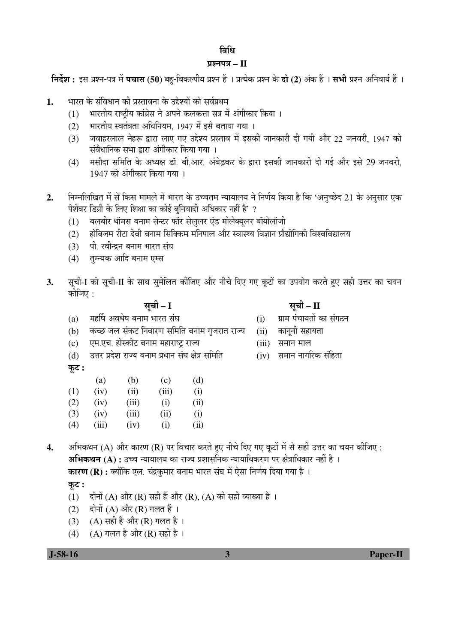# विधि

# प्रश्नपत्र – II

 $\hat{z}$ निर्देश : इस प्रश्न-पत्र में पचास (50) बहु-विकल्पीय प्रश्न हैं । प्रत्येक प्रश्न के दो (2) अंक हैं । सभी प्रश्न अनिवार्य हैं ।

- 1. भारत के संविधान की प्रस्तावना के उद्देश्यों को सर्वप्रथम
	- $(1)$  । भारतीय राष्टीय कांग्रेस ने अपने कलकत्ता सत्र में अंगीकार किया ।
	- (2) भारतीय स्वतंत्रता अधिनियम, 1947 में इसे बताया गया ।
	- (3) जवाहरलाल नेहरू द्वारा लाए गए उद्देश्य प्रस्ताव में इसकी जानकारी दी गयी और 22 जनवरी. 1947 को संवैधानिक सभा द्वारा अंगीकार किया गया ।
	- (4) मसौदा समिति के अध्यक्ष डॉ. बी.आर. अंबेड़कर के द्वारा इसकी जानकारी दी गई और इसे 29 जनवरी,  $1947$  को अंगीकार किया गया ।
- 2. निम्नलिखित में से किस मामले में भारत के उच्चतम न्यायालय ने निर्णय किया है कि 'अनुच्छेद 21 के अनुसार एक पेशेवर डिग्री के लिए शिक्षा का कोई बुनियादी अधिकार नहीं है' ?
	- (1) बलबीर थॉमस बनाम सेन्टर फॉर सेलुलर एंड मोलेक्युलर बॉयोलॉजी
	- (2) होबिजम रीटा देवी बनाम सिक्किम मनिपाल और स्वास्थ्य विज्ञान प्रौद्योगिकी विश्वविद्यालय
	- (3) पी. रवीन्द्रन बनाम भारत संघ
	- (4) तम्न्यक आदि बनाम एम्स
- 3. सूची-I को सूची-II के साथ सुमेलित कीजिए और नीचे दिए गए कूटों का उपयोग करते हुए सही उत्तर का चयन कीजिए :

| कूट : |       |       |       |      |
|-------|-------|-------|-------|------|
|       | (a)   | (b)   | (c)   | (d)  |
| (1)   | (iv)  | (ii)  | (iii) | (i)  |
| (2)   | (iv)  | (iii) | (i)   | (ii) |
| (3)   | (iv)  | (iii) | (ii)  | (i)  |
| (4)   | (iii) | (iv)  | (i)   | (ii) |

**4.** अभिकथन (A) और कारण (R) पर विचार करते हुए नीचे दिए गए कुटों में से सही उत्तर का चयन कीजिए : **अभिकथन (A) :** उच्च न्यायालय का राज्य प्रशासनिक न्यायाधिकरण पर क्षेत्राधिकार नहीं है । **कारण (R) :** क्योंकि एल. चंद्रकृमार बनाम भारत संघ में ऐसा निर्णय दिया गया है ।

 $\overline{q}$ ट:

- (1) दोनों (A) और (R) सही हैं और (R), (A) की सही व्याख्या है ।
- (2) दोनों (A) और (R) गलत हैं ।
- (3) (A) सही है और (R) गलत है।
- (4) (A) गलत है और (R) सही है ।

# ÃÖæ"Öß **– I** ÃÖæ"Öß **– II**

- $(a)$  नहर्षि अवधेष बनाम भारत संघ $(i)$  याम पंचायतों का संगठन
- (b) कच्छ जल संकट निवारण समिति बनाम गुजरात राज्य (ii) कानूनी सहायता
- (c) एम.एच. होस्कोट बनाम महाराष्ट्र राज्य (iii) समान माल
- $(d)$  उत्तर प्रदेश राज्य बनाम प्रधान संघ क्षेत्र समिति $(iv)$  समान नागरिक संहिता

 **J-58-16 3 Paper-II**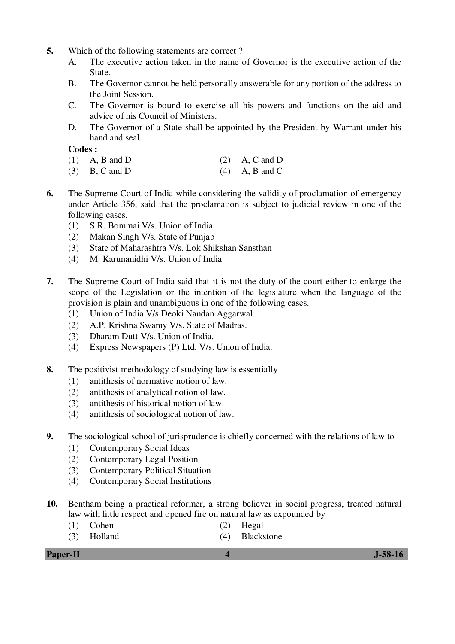- **5.** Which of the following statements are correct ?
	- A. The executive action taken in the name of Governor is the executive action of the State.
	- B. The Governor cannot be held personally answerable for any portion of the address to the Joint Session.
	- C. The Governor is bound to exercise all his powers and functions on the aid and advice of his Council of Ministers.
	- D. The Governor of a State shall be appointed by the President by Warrant under his hand and seal.

- (1) A, B and D (2) A, C and D
- (3) B, C and D (4) A, B and C
- **6.** The Supreme Court of India while considering the validity of proclamation of emergency under Article 356, said that the proclamation is subject to judicial review in one of the following cases.
	- (1) S.R. Bommai V/s. Union of India
	- (2) Makan Singh V/s. State of Punjab
	- (3) State of Maharashtra V/s. Lok Shikshan Sansthan
	- (4) M. Karunanidhi V/s. Union of India
- **7.** The Supreme Court of India said that it is not the duty of the court either to enlarge the scope of the Legislation or the intention of the legislature when the language of the provision is plain and unambiguous in one of the following cases.
	- (1) Union of India V/s Deoki Nandan Aggarwal.
	- (2) A.P. Krishna Swamy V/s. State of Madras.
	- (3) Dharam Dutt V/s. Union of India.
	- (4) Express Newspapers (P) Ltd. V/s. Union of India.
- **8.** The positivist methodology of studying law is essentially
	- (1) antithesis of normative notion of law.
	- (2) antithesis of analytical notion of law.
	- (3) antithesis of historical notion of law.
	- (4) antithesis of sociological notion of law.
- **9.** The sociological school of jurisprudence is chiefly concerned with the relations of law to
	- (1) Contemporary Social Ideas
	- (2) Contemporary Legal Position
	- (3) Contemporary Political Situation
	- (4) Contemporary Social Institutions
- **10.** Bentham being a practical reformer, a strong believer in social progress, treated natural law with little respect and opened fire on natural law as expounded by
- (1) Cohen (2) Hegal
	- (3) Holland (4) Blackstone

| <b>Paper-II</b> | $J-58-16$ |
|-----------------|-----------|
|                 |           |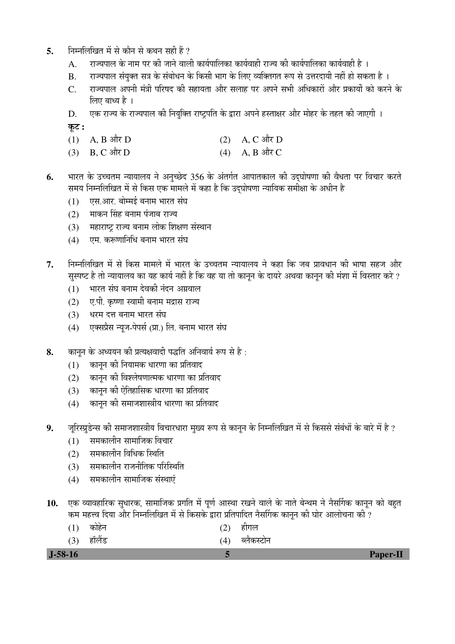- 5. Fiम्नलिखित में से कौन से कथन सही हैं ?
	- A. राज्यपाल के नाम पर की जाने वाली कार्यपालिका कार्यवाही राज्य की कार्यपालिका कार्यवाही है ।
	- B. राज्यपाल संयुक्त सत्र के संबोधन के किसी भाग के लिए व्यक्तिगत रूप से उत्तरदायी नहीं हो सकता है ।
	- C. राज्यपाल अपनी मंत्री परिषद की सहायता और सलाह पर अपने सभी अधिकारों और प्रकार्यों को करने के लिए बाध्य है ।
	- D. एक राज्य के राज्यपाल की नियुक्ति राष्ट्रपति के द्वारा अपने हस्ताक्षर और मोहर के तहत की जाएगी ।

<u>क</u>ृट :

- (1) A, B और D (2) A, C और D
- (3) B, C और D (4) A, B और C
- 6. भारत के उच्चतम न्यायालय ने अनुच्छेद 356 के अंतर्गत आपातकाल की उद्घोषणा की वैधता पर विचार करते समय निम्नलिखित में से किस एक मामले में कहा है कि उद्घोषणा न्यायिक समीक्षा के अधीन है
	- (1) एस.आर. बोम्मई बनाम भारत संघ
	- (2)  $\blacksquare$ माकन सिंह बनाम पंजाब राज्य
	- (3) महाराष्ट्र राज्य बनाम लोक शिक्षण संस्थान
	- (4) एम. करूणानिधि बनाम भारत संघ
- $7.$   $\,$  निम्नलिखित में से किस मामले में भारत के उच्चतम न्यायालय ने कहा कि जब प्रावधान की भाषा सहज और सुस्पष्ट है तो न्यायालय का यह कार्य नहीं है कि वह या तो कानुन के दायरे अथवा कानुन की मंशा में विस्तार करे ?
	- $(1)$  भारत संघ बनाम देवकी नंदन अग्रवाल
	- (2) ए.पी. कृष्णा स्वामी बनाम मद्रास राज्य
	- (3) धरम दत्त बनाम भारत संघ
	- (4) एक्सप्रैस न्यूज-पेपर्स (प्रा.) लि. बनाम भारत संघ
- 8. कानून के अध्ययन की प्रत्यक्षवादी पद्धति अनिवार्य रूप से है:
	- $(1)$  कानून की नियामक धारणा का प्रतिवाद
	- (2) कानुन की विश्लेषणात्मक धारणा का प्रतिवाद
	- (3) कानून की ऐतिहासिक धारणा का प्रतिवाद
	- $(4)$  कानन की समाजशास्त्रीय धारणा का प्रतिवाद
- 9. जूरिस्प्रुडेन्स की समाजशास्त्रीय विचारधारा मुख्य रूप से कानून के निम्नलिखित में से किससे संबंधों के बारे में है ?
	- $(1)$  समकालीन सामाजिक विचार
	- (2) समकालीन विधिक स्थिति
	- (3) समकालीन राजनीतिक परिस्थिति
	- (4) समकालीन सामाजिक संस्थाएं
- 10. एक व्यावहारिक सुधारक, सामाजिक प्रगति में पूर्ण आस्था रखने वाले के नाते बेन्थम ने नैसर्गिक कानून को बहुत कम महत्त्व दिया और निम्नलिखित में से किसके द्वारा प्रतिपादित नैर्सागक कानुन की घोर आलोचना की ?
- (1) कोहेन (2) हीगल
- (3) हॉलैंड (4) ब्लैकस्टोन

 **J-58-16 5 Paper-II**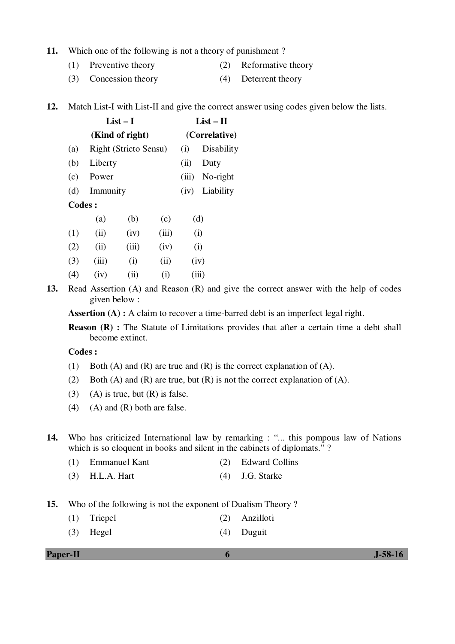#### **11.** Which one of the following is not a theory of punishment ?

- (1) Preventive theory (2) Reformative theory
- (3) Concession theory (4) Deterrent theory
- **12.** Match List-I with List-II and give the correct answer using codes given below the lists.

|         | List $-1$             |     |       | $List - II$   |
|---------|-----------------------|-----|-------|---------------|
|         | (Kind of right)       |     |       | (Correlative) |
| (a)     | Right (Stricto Sensu) |     | (i)   | Disability    |
| (b)     | Liberty               |     | (i)   | Duty          |
| (c)     | Power                 |     | (iii) | No-right      |
| (d)     | Immunity              |     | (iv)  | Liability     |
| Codes : |                       |     |       |               |
|         | (a)<br>(b)            | (c) | (d)   |               |

|     |       | $\cdot$ $\cdot$ | $\cdot$ $\cdot$ | $\sim$ $\sim$ |
|-----|-------|-----------------|-----------------|---------------|
| (1) | (i)   | (iv)            | (iii)           | (i)           |
| (2) | (i)   | (iii)           | (iv)            | (i)           |
| (3) | (iii) | (i)             | (ii)            | (iv)          |
| (4) | (iv)  | (ii)            | (i)             | (iii)         |

**13.** Read Assertion (A) and Reason (R) and give the correct answer with the help of codes given below :

Assertion (A) : A claim to recover a time-barred debt is an imperfect legal right.

**Reason (R) :** The Statute of Limitations provides that after a certain time a debt shall become extinct.

 **Codes :** 

- (1) Both (A) and (R) are true and (R) is the correct explanation of (A).
- (2) Both (A) and (R) are true, but (R) is not the correct explanation of (A).
- (3) (A) is true, but  $(R)$  is false.
- (4) (A) and  $(R)$  both are false.

**14.** Who has criticized International law by remarking : "... this pompous law of Nations which is so eloquent in books and silent in the cabinets of diplomats."?

- (1) Emmanuel Kant (2) Edward Collins
- (3) H.L.A. Hart (4) J.G. Starke
- **15.** Who of the following is not the exponent of Dualism Theory ?
	- (1) Triepel (2) Anzilloti
	- (3) Hegel (4) Duguit

**Paper-II 6 J-58-16**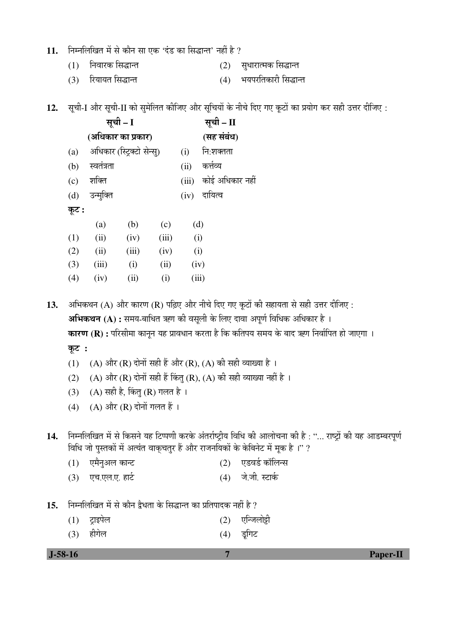# 11. • निम्नलिखित में से कौन सा एक 'दंड का सिद्धान्त' नहीं है ?

 $(1)$  निवारक सिद्धान्त  $(2)$  सुधारात्मक सिद्धान्त

ÃÖæ"Öß **– I** ÃÖæ"Öß **– II** 

**(**†×¬ÖÛúÖ¸ü ÛúÖ ¯ÖÏÛúÖ¸ü**) (**ÃÖÆü ÃÖÓ²ÖÓ¬Ö**)** 

(c) शक्ति (iii) कोई अधिकार नहीं

(a) अधिकार (स्ट्रिक्टो सेन्स्) (i) नि:शक्तता

(b) स्वतंत्रता (ii) कर्त्तव्य

(d) उन्मुक्ति (iv) दायित्व

(3) रियायत सिद्धान्त (4) भयपरतिकारी सिद्धान्त

| 15. निम्नलिखित में से कौन द्वैधता के सिद्धान्त का प्रतिपादक नहीं है ? |                             |  |                                           |  |  |  |  |  |  |
|-----------------------------------------------------------------------|-----------------------------|--|-------------------------------------------|--|--|--|--|--|--|
|                                                                       | $(1)$ ट्राइपेल<br>(3) हीगेल |  | $(2)$ एन्जिलोट्टी<br>(4) <del>इ</del> गिट |  |  |  |  |  |  |

12. सूची-I और सूची-II को सुमेलित कीजिए और सूचियों के नीचे दिए गए कूटों का प्रयोग कर सही उत्तर दीजिए :

| कूट : |       |       |       |       |
|-------|-------|-------|-------|-------|
|       | (a)   | (b)   | (c)   | (d)   |
| (1)   | (ii)  | (iv)  | (iii) | (i)   |
| (2)   | (ii)  | (iii) | (iv)  | (i)   |
| (3)   | (iii) | (i)   | (ii)  | (iv)  |
| (4)   | (iv)  | (ii)  | (i)   | (iii) |

13. • अभिकथन (A) और कारण (R) पढ़िए और नीचे दिए गए कूटों की सहायता से सही उत्तर दीजिए : अभिकथन (A) : समय-बाधित ऋण की वसूली के लिए दावा अपूर्ण विधिक अधिकार है । **कारण (R) :** परिसीमा कानून यह प्रावधान करता है कि कतिपय समय के बाद ऋण निर्वापित हो जाएगा । कूट**ः** 

- (1) (A) और (R) दोनों सही हैं और (R), (A) की सही व्याख्या है ।
- (2) (A) और (R) दोनों सही हैं किंतु (R), (A) की सही व्याख्या नहीं है ।
- (3) (A) सही है, किंतू (R) गलत है।
- (4)  $(A)$  और  $(R)$  दोनों गलत हैं।

14. Fiम्नलिखित में से किसने यह टिप्पणी करके अंतर्राष्ट्रीय विधि की आलोचना की है: "... राष्ट्रों की यह आडम्बरपूर्ण विधि जो पुस्तकों में अत्यंत वाकुचतुर हैं और राजनयिकों के केबिनेट में मुक है।" ?

- $(1)$  एमैनुअल कान्ट  $(2)$  एडवर्ड कॉलिन्स
- (3) एच.एल.ए. हार्ट (4) जे.जी. स्टार्क

 **J-58-16 7 Paper-II**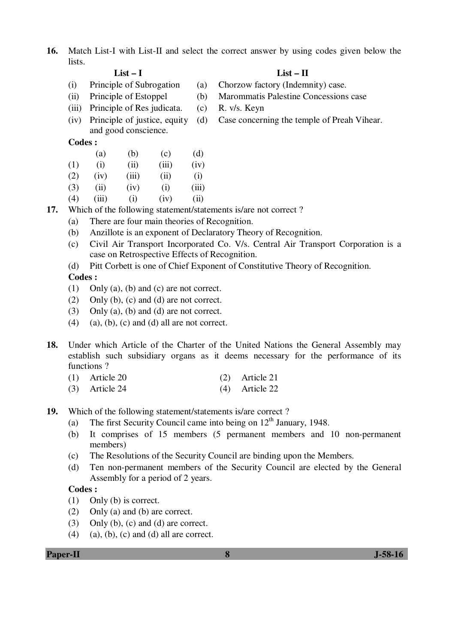**16.** Match List-I with List-II and select the correct answer by using codes given below the lists.

- 
- 
- (iii) Principle of Res judicata. (c) R. v/s. Keyn
- (iv) Principle of justice, equity and good conscience.

## **Codes :**

- (a) (b) (c) (d)
- (1) (i) (iii) (iii) (iv)
- (2) (iv) (iii) (ii) (i)
- (3) (ii) (iv) (i) (iii)
- (4) (iii) (i) (iv) (ii) **17.** Which of the following statement/statements is/are not correct ?
	- (a) There are four main theories of Recognition.
	- (b) Anzillote is an exponent of Declaratory Theory of Recognition.
	- (c) Civil Air Transport Incorporated Co. V/s. Central Air Transport Corporation is a case on Retrospective Effects of Recognition.
	- (d) Pitt Corbett is one of Chief Exponent of Constitutive Theory of Recognition.

# **Codes :**

- (1) Only (a), (b) and (c) are not correct.
- (2) Only (b), (c) and (d) are not correct.
- (3) Only (a), (b) and (d) are not correct.
- $(4)$  (a), (b), (c) and (d) all are not correct.
- **18.** Under which Article of the Charter of the United Nations the General Assembly may establish such subsidiary organs as it deems necessary for the performance of its functions ?
	- (1) Article 20 (2) Article 21
	- (3) Article 24 (4) Article 22
- **19.** Which of the following statement/statements is/are correct ?
	- (a) The first Security Council came into being on  $12<sup>th</sup>$  January, 1948.
	- (b) It comprises of 15 members (5 permanent members and 10 non-permanent members)
	- (c) The Resolutions of the Security Council are binding upon the Members.
	- (d) Ten non-permanent members of the Security Council are elected by the General Assembly for a period of 2 years.

# **Codes :**

- (1) Only (b) is correct.
- (2) Only (a) and (b) are correct.
- (3) Only (b), (c) and (d) are correct.
- (4) (a), (b), (c) and (d) all are correct.

# **List – I List – II**

- (i) Principle of Subrogation (a) Chorzow factory (Indemnity) case.
- (ii) Principle of Estoppel (b) Marommatis Palestine Concessions case
	-
	- (d) Case concerning the temple of Preah Vihear.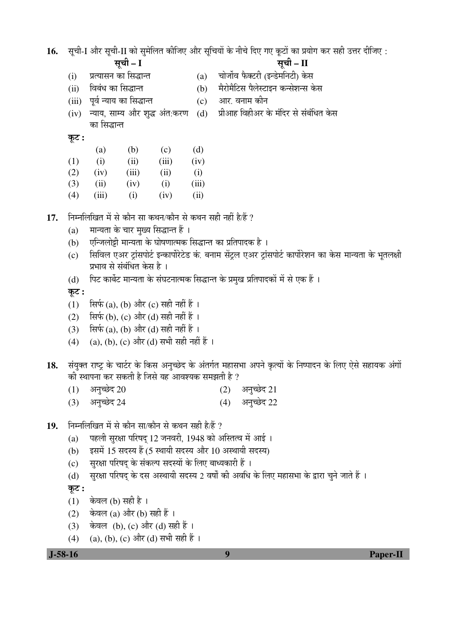16. सूची-I और सूची-II को सुमेलित कीजिए और सुचियों के नीचे दिए गए कुटों का प्रयोग कर सही उत्तर दीजिए :

ÃÖæ"Öß **– I** ÃÖæ"Öß **– II** 

- 
- (i) प्रत्यासन का सिद्धान्त (a) चोर्जोव फैक्टरी (इन्डेमनिटी) केस
- (ii) विबंध का सिद्धान्त (b) मैरोमैटिस पैलेस्टाइन कन्सेशन्स केस
- (iii) पूर्व न्याय का सिद्धान्त (c) आर. वनाम कीन
- (iv) ल्याय, साम्य और शद्ध अंत:करण (d) का सिद्धान्त
	- प्रीआह विहीअर के मंदिर से संबंधित केस

 $\overline{q}$ ट:

|     | (a)  | (b)   | (c)   | (d)   |
|-----|------|-------|-------|-------|
| (1) | (i)  | (ii)  | (iii) | (iv)  |
| (2) | (iv) | (iii) | (ii)  | (i)   |
| (3) | (i)  | (iv)  | (i)   | (iii) |

(4) (iii) (i) (iv) (ii)

17. FHHलिखित में से कौन सा कथन/कौन से कथन सही नहीं है/हैं ?

- $(a)$   $\;$  मान्यता के चार मुख्य सिद्धान्त हैं ।
- (b) एन्जिलोड़ी मान्यता के घोषणात्मक सिद्धान्त का प्रतिपादक है ।
- (c) सिविल एअर ट्रांसपोर्ट इन्कार्पोरेटेड कं. बनाम सेंट्रल एअर ट्रांसपोर्ट कार्पोरेशन का केस मान्यता के भूतलक्षी प्रभाव से संबंधित केस है ।
- (d) पिट कार्बेट मान्यता के संघटनात्मक सिद्धान्त के प्रमुख प्रतिपादकों में से एक हैं ।

कूट :

- (1)  $\vec{R}$ फ़्फ़ (a), (b) और (c) सही नहीं हैं ।
- $(2)$  सिर्फ (b),  $(c)$  और (d) सही नहीं हैं ।
- (3)  $\vec{R}$ फ़ि(a), (b) और (d) सही नहीं हैं ।
- $(4)$  (a), (b), (c) और (d) सभी सही नहीं हैं ।
- 18. संयुक्त राष्ट्र के चार्टर के किस अनुच्छेद के अंतर्गत महासभा अपने कृत्यों के निष्पादन के लिए ऐसे सहायक अंगों की स्थापना कर सकती है जिसे यह आवश्यक समझती है ?
	- $(1)$  अनुच्छेद 20 (2) अनुच्छेद 21
	- $(3)$  अनुच्छेद 24 (4) अनुच्छेद 22
- 19. निम्नलिखित में से कौन सा/कौन से कथन सही है/हैं ?
	- (a) पहली सुरक्षा परिषद् 12 जनवरी, 1948 को अस्तित्व में आई ।
	- (b)  $\vec{B}$ इसमें 15 सदस्य हैं (5 स्थायी सदस्य और 10 अस्थायी सदस्य)
	- (c) सुरक्षा परिषद् के संकल्प सदस्यों के लिए बाध्यकारी हैं ।
	- (d) सुरक्षा परिषद् के दस अस्थायी सदस्य 2 वर्षों की अवधि के लिए महासभा के द्वारा चने जाते हैं ।

कूट :

- $(1)$  केवल (b) सही है।
- (2) केवल (a) और (b) सही हैं ।
- (3) केवल (b), (c) और (d) सही हैं ।
- (4) (a), (b), (c) और (d) सभी सही हैं ।

 **J-58-16 9 Paper-II**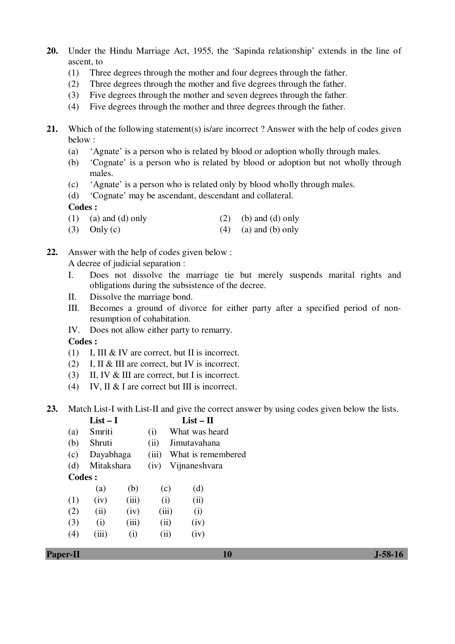- **20.** Under the Hindu Marriage Act, 1955, the 'Sapinda relationship' extends in the line of ascent, to
	- (1) Three degrees through the mother and four degrees through the father.
	- (2) Three degrees through the mother and five degrees through the father.
	- (3) Five degrees through the mother and seven degrees through the father.
	- (4) Five degrees through the mother and three degrees through the father.
- 21. Which of the following statement(s) is/are incorrect? Answer with the help of codes given below :
	- (a) 'Agnate' is a person who is related by blood or adoption wholly through males.
	- (b) 'Cognate' is a person who is related by blood or adoption but not wholly through males.
	- (c) 'Agnate' is a person who is related only by blood wholly through males.
	- (d) 'Cognate' may be ascendant, descendant and collateral.

- (1) (a) and (d) only (2) (b) and (d) only
- (3) Only (c)  $(4)$  (a) and (b) only

**22.** Answer with the help of codes given below :

A decree of judicial separation :

- I. Does not dissolve the marriage tie but merely suspends marital rights and obligations during the subsistence of the decree.
- II. Dissolve the marriage bond.
- III. Becomes a ground of divorce for either party after a specified period of nonresumption of cohabitation.
- IV. Does not allow either party to remarry.

**Codes :** 

- (1) I, III & IV are correct, but II is incorrect.
- (2) I, II & III are correct, but IV is incorrect.
- (3) II, IV & III are correct, but I is incorrect.
- (4) IV, II & I are correct but III is incorrect.
- **23.** Match List-I with List-II and give the correct answer by using codes given below the lists.

|        | $List-I$   |       |       |       | $List - II$        |
|--------|------------|-------|-------|-------|--------------------|
| (a)    | Smriti     |       | (i)   |       | What was heard     |
| (b)    | Shruti     |       | (ii)  |       | Jimutavahana       |
| (c)    | Dayabhaga  |       | (iii) |       | What is remembered |
| (d)    | Mitakshara |       | (iv)  |       | Vijnaneshvara      |
| Codes: |            |       |       |       |                    |
|        | (a)        | (b)   |       | (c)   | (d)                |
| (1)    | (iv)       | (iii) |       | (i)   | (ii)               |
| (2)    | (ii)       | (iv)  |       | (iii) | (i)                |
| (3)    | (i)        | (iii) |       | (ii)  | (iv)               |
| (4)    | (iii)      | (i)   |       | (ii)  | (iv)               |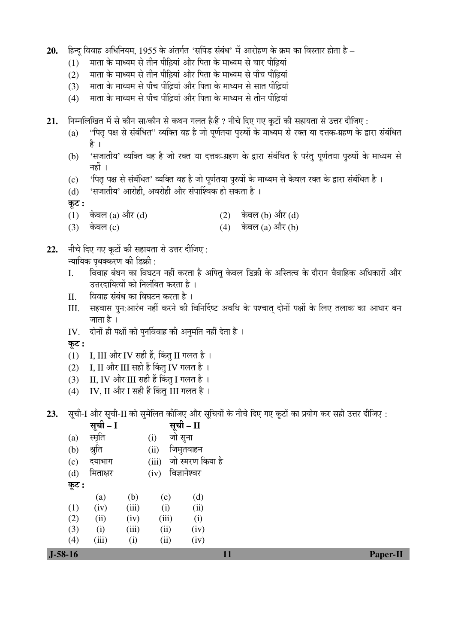- 20. हिन्दु विवाह अधिनियम, 1955 के अंतर्गत 'सपिंड संबंध' में आरोहण के क्रम का विस्तार होता है
	- $(1)$  माता के माध्यम से तीन पीढ़ियां और पिता के माध्यम से चार पीढ़ियां
	- $(2)$  गता के माध्यम से तीन पीढ़ियां और पिता के माध्यम से पाँच पीढ़ियां
	- $(3)$  गता के माध्यम से पाँच पीढ़ियां और पिता के माध्यम से सात पीढ़ियां
	- $(4)$   $\,$  माता के माध्यम से पाँच पीढियां और पिता के माध्यम से तीन पीढियां
- 21. Fiम्नलिखित में से कौन सा/कौन से कथन गलत है/हैं ? नीचे दिए गए कूटों की सहायता से उत्तर दीजिए :
	- (a) "पित पक्ष से संबंधित" व्यक्ति वह है जो पूर्णतया पुरुषों के माध्यम से रक्त या दत्तक-ग्रहण के द्वारा संबंधित है ।
	- (b) 'सजातीय' व्यक्ति वह है जो रक्त या दत्तक-ग्रहण के द्वारा संबंधित है परंतु पर्णतया पुरुषों के माध्यम से नहीं ।
	- (c) 'पितृ पक्ष से संबंधित' व्यक्ति वह है जो पूर्णतया पुरुषों के माध्यम से केवल रक्त के द्वारा संबंधित है ।
	- $(d)$  'सजातीय' आरोही, अवरोही और संपार्श्विक हो सकता है।

कूट :

- (1) केवल (a) और (d)  $(2)$  केवल (b) और (d)
- $(3)$  केवल  $(c)$  (4) केवल  $(a)$  और  $(b)$
- 22. Fit and apply on the state of the care that the state of the state of the state  $\colon$

<u>न्यायिक पृथक्करण की डिक्री :</u>

- I. विवाह बंधन का विघटन नहीं करता है अपित केवल डिक्री के अस्तित्व के दौरान वैवाहिक अधिकारों और उत्तरदायित्वों को निलंबित करता है।
- II. विवाह संबंध का विघटन करता है ।
- III. सहवास पुन:आरंभ नहीं करने की विनिर्दिष्ट अवधि के पश्चात् दोनों पक्षों के लिए तलाक का आधार बन जाता है ।
- IV. दोनों ही पक्षों को पुनर्विवाह की अनुमति नहीं देता है ।

कूट :

- (1) I, III और IV सही हैं, किंतु II गलत है।
- (2) I, II और III सही हैं किंतु IV गलत है।
- (3) II, IV और III सही हैं किंतु I गलत है ।
- (4) IV, II और I सही हैं किंतु III गलत है।

23. Äची-I और सूची-II को सुमेलित कीजिए और सुचियों के नीचे दिए गए कुटों का प्रयोग कर सही उत्तर दीजिए:

|           | सूची – I                 |       |       | सूची – II        |    |  |                 |
|-----------|--------------------------|-------|-------|------------------|----|--|-----------------|
| (a)       | स्मृति                   |       | (i)   | जो सुना          |    |  |                 |
| (b)       | श्रुति                   |       | (ii)  | जिमुतवाहन        |    |  |                 |
| (c)       | दयाभाग                   |       | (iii) | जो स्मरण किया है |    |  |                 |
| (d)       | मिताक्षर                 |       | (iv)  | विज्ञानेश्वर     |    |  |                 |
| कूट :     |                          |       |       |                  |    |  |                 |
|           | $\left( \text{a}\right)$ | (b)   | (c)   | (d)              |    |  |                 |
| (1)       | (iv)                     | (iii) | (i)   | (ii)             |    |  |                 |
| (2)       | (ii)                     | (iv)  | (iii) | (i)              |    |  |                 |
| (3)       | (i)                      | (iii) | (ii)  | (iv)             |    |  |                 |
| (4)       | (iii)                    | (i)   | (ii)  | (iv)             |    |  |                 |
| $J-58-16$ |                          |       |       |                  | 11 |  | <b>Paper-II</b> |
|           |                          |       |       |                  |    |  |                 |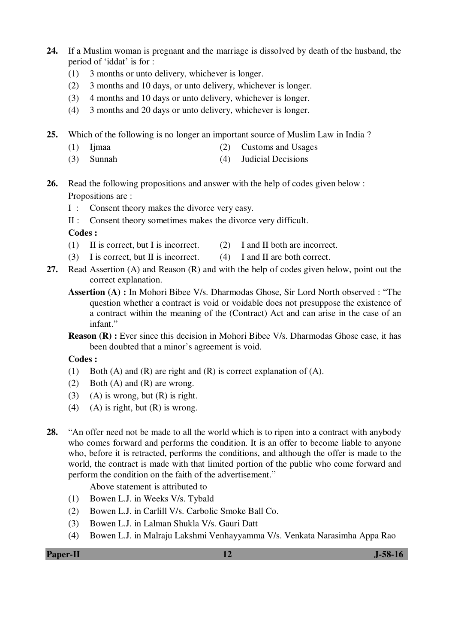- **24.** If a Muslim woman is pregnant and the marriage is dissolved by death of the husband, the period of 'iddat' is for :
	- (1) 3 months or unto delivery, whichever is longer.
	- (2) 3 months and 10 days, or unto delivery, whichever is longer.
	- (3) 4 months and 10 days or unto delivery, whichever is longer.
	- (4) 3 months and 20 days or unto delivery, whichever is longer.
- **25.** Which of the following is no longer an important source of Muslim Law in India ?
	- (1) Ijmaa (2) Customs and Usages
	- (3) Sunnah (4) Judicial Decisions
- **26.** Read the following propositions and answer with the help of codes given below : Propositions are :
	- I : Consent theory makes the divorce very easy.
	- II : Consent theory sometimes makes the divorce very difficult.

- (1) II is correct, but I is incorrect. (2) I and II both are incorrect.
- (3) I is correct, but II is incorrect. (4) I and II are both correct.
- **27.** Read Assertion (A) and Reason (R) and with the help of codes given below, point out the correct explanation.
	- **Assertion (A) :** In Mohori Bibee V/s. Dharmodas Ghose, Sir Lord North observed : "The question whether a contract is void or voidable does not presuppose the existence of a contract within the meaning of the (Contract) Act and can arise in the case of an infant."
	- **Reason (R) :** Ever since this decision in Mohori Bibee V/s. Dharmodas Ghose case, it has been doubted that a minor's agreement is void.

**Codes :** 

- (1) Both (A) and (R) are right and (R) is correct explanation of (A).
- (2) Both (A) and (R) are wrong.
- (3) (A) is wrong, but  $(R)$  is right.
- (4) (A) is right, but  $(R)$  is wrong.
- **28.** "An offer need not be made to all the world which is to ripen into a contract with anybody who comes forward and performs the condition. It is an offer to become liable to anyone who, before it is retracted, performs the conditions, and although the offer is made to the world, the contract is made with that limited portion of the public who come forward and perform the condition on the faith of the advertisement."

Above statement is attributed to

- (1) Bowen L.J. in Weeks V/s. Tybald
- (2) Bowen L.J. in Carlill V/s. Carbolic Smoke Ball Co.
- (3) Bowen L.J. in Lalman Shukla V/s. Gauri Datt
- (4) Bowen L.J. in Malraju Lakshmi Venhayyamma V/s. Venkata Narasimha Appa Rao

**Paper-II** J-58-16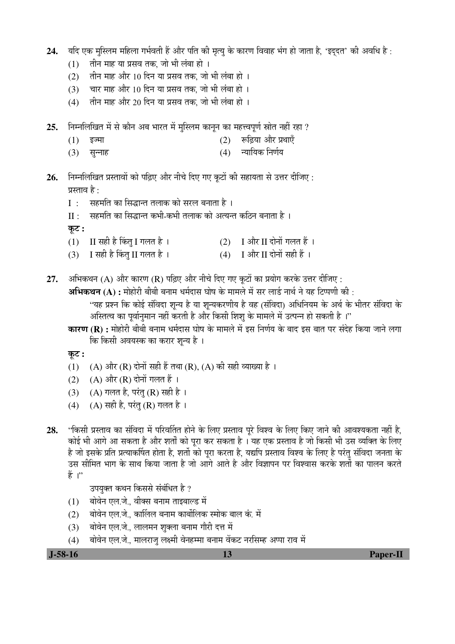- 24. यदि एक मस्लिम महिला गर्भवती हैं और पति की मृत्य के कारण विवाह भंग हो जाता है. 'इददत' की अवधि है :
	- $(1)$  तीन माह या प्रसव तक, जो भी लंबा हो ।
	- $(2)$   $\vec{a}$ नि माह और 10 दिन या प्रसव तक, जो भी लंबा हो ।
	- $(3)$  वार माह और 10 दिन या प्रसव तक. जो भी लंबा हो ।
	- $(4)$   $\,$  तीन माह और 20 दिन या प्रसव तक, जो भी लंबा हो ।
- 25. Fiम्नलिखित में से कौन अब भारत में मुस्लिम कानून का महत्त्वपूर्ण स्रोत नहीं रहा ?
	- $(1)$  इज्मा (2) रूढिया और प्रथाएँ
	- (3) ÃÖã®®ÖÖÆü (4) ®µÖÖ×µÖÛú ×®ÖÞÖÔµÖ
- **26.** ×®Ö´®Ö×»Ö×ÜÖŸÖ ¯ÖÏßÖÖ¾ÖÖë ÛúÖê ¯ÖלÌü‹ †Öî¸ ®Öß"Öê פü‹ ÝÖ‹ Ûæú™üÖë Ûúß ÃÖÆüÖµÖŸÖÖ ÃÖê ˆ¢Ö¸ü ¤üßו֋ü : प्रस्ताव है $\cdot$ 
	- I : सहमति का सिद्धान्त तलाक को सरल बनाता है ।
	- $II:$   $\,$  सहमति का सिद्धान्त कभी-कभी तलाक को अत्यन्त कठिन बनाता है ।
	- $\overline{\phi}$ :
	- $(1)$  II सही है किंतु I गलत है ।  $(2)$  I और II दोनों गलत हैं ।
	- (3) I सही है किंत् II गलत है ।  $(4)$  I और II दोनों सही हैं ।
- **27.** अभिकथन (A) और कारण (R) पढ़िए और नीचे दिए गए कृटों का प्रयोग करके उत्तर दीजिए :
	- **अभिकथन (A) :** मोहोरी बीबी बनाम धर्मदास घोष के मामले में सर लार्ड नार्थ ने यह टिप्पणी की :
		- "यह प्रश्न कि कोई संविदा शून्य है या शून्यकरणीय है वह (संविदा) अधिनियम के अर्थ के भीतर संविदा के अस्तित्व का पर्वानमान नहीं करती है और किसी शिश के मामले में उत्पन्न हो सकती है ।''
	- **कारण (R) :** मोहोरी बीबी बनाम धर्मदास घोष के मामले में इस निर्णय के बाद इस बात पर संदेह किया जाने लगा कि किसी अवयस्क का करार शुन्य है ।
	- $\overline{\phi}$ :
	- (1) (A) और (R) दोनों सही हैं तथा (R), (A) की सही व्याख्या है ।
	- (2)  $(A)$  और  $(R)$  दोनों गलत हैं ।
	- (3) (A) गलत है, परंतु (R) सही है ।
	- (4) (A) सही है, परंतु (R) गलत है।
- 28. "किसी प्रस्ताव का संविदा में परिवर्तित होने के लिए प्रस्ताव परे विश्व के लिए किए जाने की आवश्यकता नहीं है. कोई भी आगे आ सकता है और शर्तों को पुरा कर सकता है । यह एक प्रस्ताव है जो किसी भी उस व्यक्ति के लिए है जो इसके प्रति प्रत्याकर्षित होता है. शर्तो को पुरा करता है. यद्यपि प्रस्ताव विश्व के लिए है परंतु संविदा जनता के उस सीमित भाग के साथ किया जाता है जो आगे आते है और विज्ञापन पर विश्वास करके शर्तो का पालन करते  $\frac{3}{6}$  "

उपयुक्त कथन किससे संबंधित है ?

- $(1)$  वोवेन एल.जे.. वीक्स बनाम ताइबाल्ड में
- (2) बोवेन एल.जे., कार्लिल बनाम कार्बोलिक स्मोक बाल कं. में
- (3) बोवेन एल.जे., लालमन शुक्ला बनाम गौरी दत्त में
- (4) बोवेन एल.जे.. मालराज लक्ष्मी वेनहम्मा बनाम वेंकट नरसिम्ह अप्पा राव में

 **J-58-16 13 Paper-II**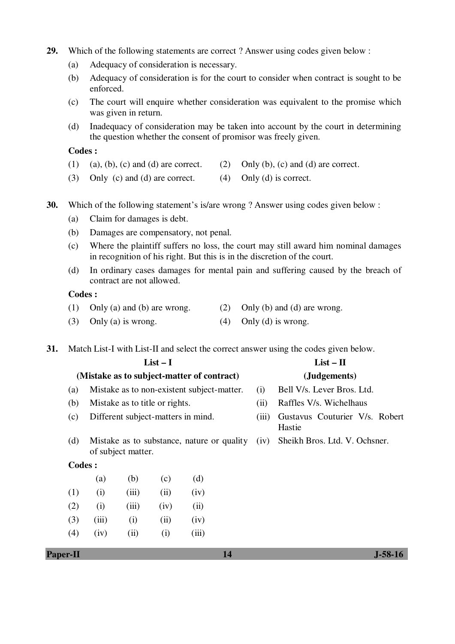- **29.** Which of the following statements are correct ? Answer using codes given below :
	- (a) Adequacy of consideration is necessary.
	- (b) Adequacy of consideration is for the court to consider when contract is sought to be enforced.
	- (c) The court will enquire whether consideration was equivalent to the promise which was given in return.
	- (d) Inadequacy of consideration may be taken into account by the court in determining the question whether the consent of promisor was freely given.

- (1) (a), (b), (c) and (d) are correct. (2) Only (b), (c) and (d) are correct.
- (3) Only (c) and (d) are correct. (4) Only (d) is correct.
- **30.** Which of the following statement's is/are wrong ? Answer using codes given below :
	- (a) Claim for damages is debt.
	- (b) Damages are compensatory, not penal.
	- (c) Where the plaintiff suffers no loss, the court may still award him nominal damages in recognition of his right. But this is in the discretion of the court.
	- (d) In ordinary cases damages for mental pain and suffering caused by the breach of contract are not allowed.

#### **Codes :**

- (1) Only (a) and (b) are wrong. (2) Only (b) and (d) are wrong.
- (3) Only (a) is wrong.  $(4)$  Only (d) is wrong.

**31.** Match List-I with List-II and select the correct answer using the codes given below.

|                 |                                            |                                    | $List-I$ |                                            | $List - II$                              |                               |                            |
|-----------------|--------------------------------------------|------------------------------------|----------|--------------------------------------------|------------------------------------------|-------------------------------|----------------------------|
|                 | (Mistake as to subject-matter of contract) |                                    |          |                                            | (Judgements)                             |                               |                            |
| (a)             |                                            |                                    |          | Mistake as to non-existent subject-matter. |                                          | (i)                           | Bell V/s. Lever Bros. Ltd. |
| (b)             |                                            | Mistake as to title or rights.     |          |                                            |                                          | (ii)                          | Raffles V/s. Wichelhaus    |
| (c)             |                                            | Different subject-matters in mind. |          | (iii)                                      | Gustavus Couturier V/s. Robert<br>Hastie |                               |                            |
| (d)             |                                            | of subject matter.                 |          | Mistake as to substance, nature or quality | (iv)                                     | Sheikh Bros. Ltd. V. Ochsner. |                            |
|                 | Codes :                                    |                                    |          |                                            |                                          |                               |                            |
|                 | (a)                                        | (b)                                | (c)      | (d)                                        |                                          |                               |                            |
| (1)             | (i)                                        | (iii)                              | (ii)     | (iv)                                       |                                          |                               |                            |
| (2)             | (i)                                        | (iii)                              | (iv)     | (ii)                                       |                                          |                               |                            |
| (3)             | (iii)                                      | (i)                                | (ii)     | (iv)                                       |                                          |                               |                            |
| (4)             | (iv)                                       | (ii)                               | (i)      | (iii)                                      |                                          |                               |                            |
| <b>Paper-II</b> |                                            |                                    |          |                                            | 14                                       |                               | $J-58-16$                  |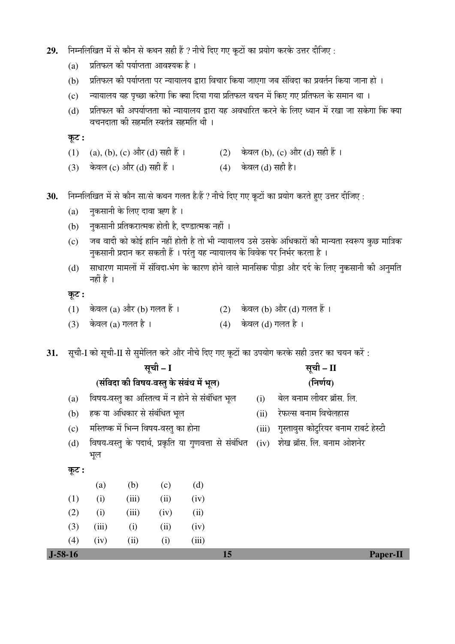- 29. Fiम्नलिखित में से कौन से कथन सही हैं ? नीचे दिए गए कूटों का प्रयोग करके उत्तर दीजिए:
	- $(a)$  प्रतिफल की पर्याप्तता आवश्यक है।
	- (b) प्रतिफल की पर्याप्तता पर न्यायालय द्वारा विचार किया जाएगा जब संविदा का प्रवर्तन किया जाना हो ।
	- (c) न्यायालय यह पृच्छा करेगा कि क्या दिया गया प्रतिफल वचन में किए गए प्रतिफल के समान था ।
	- (d) प्रतिफल की अपर्याप्तता को न्यायालय द्वारा यह अवधारित करने के लिए ध्यान में रखा जा सकेगा कि क्या <u>वचनदाता की सहमति स्वतंत्र सहमति थी</u> ।

 $\overline{\phi}$ :

- (1) (a), (b), (c) और (d) सही हैं । (2) केवल (b), (c) और (d) सही हैं ।
- (3) केवल (c) और (d) सही हैं ।  $(4)$  केवल (d) सही है।
- 30. निम्नलिखित में से कौन सा/से कथन गलत है/हैं ? नीचे दिए गए कूटों का प्रयोग करते हुए उत्तर दीजिए :
	- (a) नुकसानी के लिए दावा ऋण है ।
	- (b) नुकसानी प्रतिकरात्मक होती है, दण्डात्मक नहीं ।
	- (c) जब वादी को कोई हानि नहीं होती है तो भी न्यायालय उसे उसके अधिकारों की मान्यता स्वरूप कछ मात्रिक नुकसानी प्रदान कर सकती हैं । परंतु यह न्यायालय के विवेक पर निर्भर करता है ।
	- (d) साधारण मामलों में संविदा-भंग के कारण होने वाले मानसिक पीड़ा और दर्द के लिए नुकसानी की अनुमति नहीं है $\perp$

# कूट :

- (1) केवल (a) और (b) गलत हैं ।  $(2)$  केवल (b) और (d) गलत हैं ।
- (3) केवल (a) गलत है ।  $(4)$  केवल (d) गलत है ।

31. सूची-I को सूची-II से सुमेलित करे और नीचे दिए गए कुटों का उपयोग करके सही उत्तर का चयन करें:

| सूची – I  |                                                  |       |      |                                                      |                                       | सूची – II |                                |  |
|-----------|--------------------------------------------------|-------|------|------------------------------------------------------|---------------------------------------|-----------|--------------------------------|--|
|           |                                                  |       |      | (संविदा की विषय-वस्तु के संबंध में भूल)              |                                       |           | (निर्णय)                       |  |
| (a)       | विषय-वस्तु का अस्तित्व में न होने से संबंधित भूल |       |      | (i)                                                  | बेल बनाम लीवर ब्रॉस. लि.              |           |                                |  |
| (b)       | हक या अधिकार से संबंधित भूल                      |       |      | (ii)                                                 | रेफल्स बनाम विचेलहास                  |           |                                |  |
| (c)       | मस्तिष्क में भिन्न विषय-वस्तु का होना            |       |      | (iii)                                                | गुस्तावुस कोटुरियर बनाम राबर्ट हेस्टी |           |                                |  |
| (d)       | भूल                                              |       |      | विषय-वस्तु के पदार्थ, प्रकृति या गुणवत्ता से संबंधित |                                       |           | (iv) शेख ब्रॉस. लि. बनाम ओशनेर |  |
| कूट :     |                                                  |       |      |                                                      |                                       |           |                                |  |
|           | (a)                                              | (b)   | (c)  | (d)                                                  |                                       |           |                                |  |
| (1)       | (i)                                              | (iii) | (ii) | (iv)                                                 |                                       |           |                                |  |
| (2)       | (i)                                              | (iii) | (iv) | (ii)                                                 |                                       |           |                                |  |
| (3)       | (iii)                                            | (i)   | (ii) | (iv)                                                 |                                       |           |                                |  |
| (4)       | (iv)                                             | (ii)  | (i)  | (iii)                                                |                                       |           |                                |  |
| $J-58-16$ |                                                  |       |      |                                                      | 15                                    |           | <b>Paper-II</b>                |  |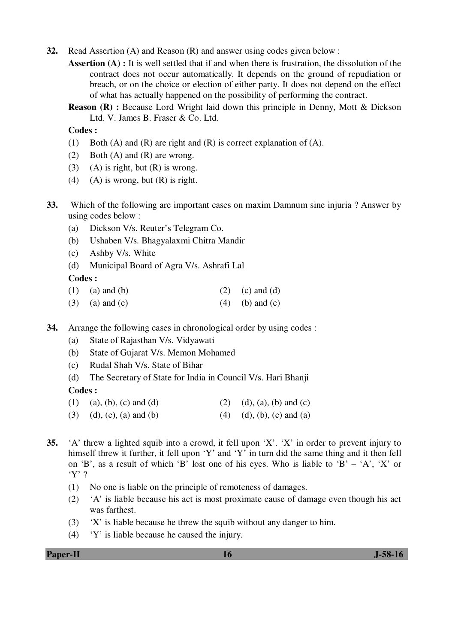- **32.** Read Assertion (A) and Reason (R) and answer using codes given below :
	- **Assertion (A) :** It is well settled that if and when there is frustration, the dissolution of the contract does not occur automatically. It depends on the ground of repudiation or breach, or on the choice or election of either party. It does not depend on the effect of what has actually happened on the possibility of performing the contract.
	- **Reason (R) :** Because Lord Wright laid down this principle in Denny, Mott & Dickson Ltd. V. James B. Fraser & Co. Ltd.

- (1) Both (A) and (R) are right and (R) is correct explanation of (A).
- (2) Both (A) and (R) are wrong.
- (3) (A) is right, but  $(R)$  is wrong.
- (4) (A) is wrong, but  $(R)$  is right.
- **33.** Which of the following are important cases on maxim Damnum sine injuria ? Answer by using codes below :
	- (a) Dickson V/s. Reuter's Telegram Co.
	- (b) Ushaben V/s. Bhagyalaxmi Chitra Mandir
	- (c) Ashby V/s. White
	- (d) Municipal Board of Agra V/s. Ashrafi Lal

# **Codes :**

- (1) (a) and (b) (2) (c) and (d)
- (3) (a) and (c)  $(4)$  (b) and (c)
- **34.** Arrange the following cases in chronological order by using codes :
	- (a) State of Rajasthan V/s. Vidyawati
	- (b) State of Gujarat V/s. Memon Mohamed
	- (c) Rudal Shah V/s. State of Bihar
	- (d) The Secretary of State for India in Council V/s. Hari Bhanji

### **Codes :**

- (1) (a), (b), (c) and (d) (2) (d), (a), (b) and (c)
- (3) (d), (c), (a) and (b) (4) (d), (b), (c) and (a)
- **35.** 'A' threw a lighted squib into a crowd, it fell upon 'X'. 'X' in order to prevent injury to himself threw it further, it fell upon 'Y' and 'Y' in turn did the same thing and it then fell on 'B', as a result of which 'B' lost one of his eyes. Who is liable to 'B' – 'A', 'X' or 'Y' ?
	- (1) No one is liable on the principle of remoteness of damages.
	- (2) 'A' is liable because his act is most proximate cause of damage even though his act was farthest.
	- (3) 'X' is liable because he threw the squib without any danger to him.
	- (4) 'Y' is liable because he caused the injury.

**Paper-II** J-58-16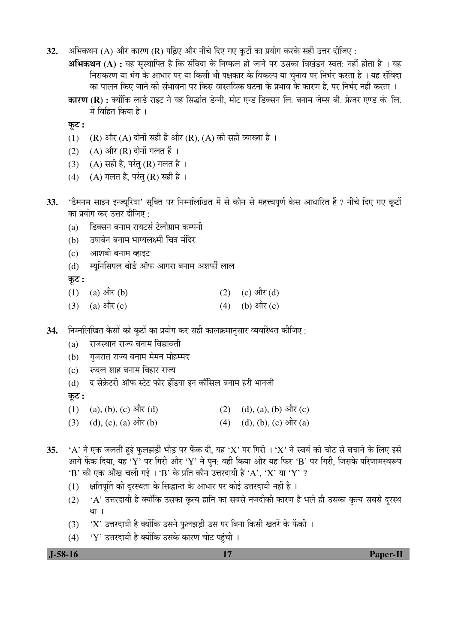- **32.** अभिकथन (A) और कारण (R) पढ़िए और नीचे दिए गए कृटों का प्रयोग करके सही उत्तर दीजिए :
	- **अभिकथन (A) :** यह सस्थापित है कि संविदा के निष्फल हो जाने पर उसका विखंडन स्वत: नहीं होता है । यह निराकरण या भंग के आधार पर या किसी भी पक्षकार के विकल्प या चनाव पर निर्भर करता है । यह संविदा का पालन किए जाने की संभावना पर किस वास्तविक घटना के प्रभाव के कारण है. पर निर्भर नहीं करता ।
	- **कारण (R) :** क्योंकि लार्ड राइट ने यह सिद्धांत डेन्नी. मोट एन्ड डिक्सन लि. बनाम जेम्स बी. फ्रेजर एण्ड कं. लि. में विहित किया है ।

Ûæú™ü **:** 

- (1) (R) और (A) दोनों सही हैं और (R), (A) की सही व्याख्या है ।
- (2)  $(A)$  और  $(R)$  दोनों गलत हैं।
- (3) (A) सही है, परंतु (R) गलत है।
- (4) (A) गलत है, परंतु (R) सही है।
- 33. 'डैमनम साइन इन्ज्यूरिया' सूक्ति पर निम्नलिखित में से कौन से महत्त्वपूर्ण केस आधारित हैं ? नीचे दिए गए कूटों का प्रयोग कर उत्तर दीजिए :
	- (a) डिक्सन बनाम रायटर्स टेलीग्राम कम्पनी
	- (b) उषाबेन बनाम भाग्यलक्ष्मी चित्र मंदिर
	- (c) आशबी बनाम व्हाइट
	- (d) म्युनिसिपल बोर्ड ऑफ आगरा बनाम अशर्फी लाल

कूट :

- (1) (a)  $\exists \pi$  (b) (2) (c)  $\exists \pi$  (d)
- (3) (a)  $\frac{d\vec{r}}{dt}$  (c) (4) (b)  $\frac{d\vec{r}}{dt}$  (c)
- 34. निम्नलिखित केसों को कटों का प्रयोग कर सही कालक्रमानसार व्यवस्थित कीजिए :
	- (a) राजस्थान राज्य बनाम विद्यावती
	- (b) गुजरात राज्य बनाम मेमन मोहम्मद
	- (c) ह्व्दल शाह बनाम बिहार राज्य
	- (d) द सेक्रेटरी ऑफ स्टेट फोर इंडिया इन कौंसिल बनाम हरी भानजी

Ûæú™ü **:** 

- (1) (a), (b), (c)  $\exists \hat{\mathbb{T}}$  (d) (d), (a), (b)  $\exists \hat{\mathbb{T}}$  (c)
- (3) (d), (c), (a)  $\frac{d}{dt}$ (b) (4) (d), (b), (c)  $\frac{d}{dt}$  (a)
- $35.$   $\rightarrow$   $A'$  ने एक जलती हुई फलझड़ी भीड़ पर फेंक दी. यह  $\cdot$ X' पर गिरी ।  $\cdot$ X' ने स्वयं को चोट से बचाने के लिए इसे आगे फेंक दिया, यह 'Y' पर गिरी और 'Y' ने पुन: वही किया और यह फिर 'B' पर गिरी, जिसके परिणामस्वरूप 'B' की एक आँख चली गई । 'B' के प्रति कौन उत्तरदायी है 'A', 'X' या 'Y' ?
	- (1) क्षतिपूर्ति की दुरस्थता के सिद्धान्त के आधार पर कोई उत्तरदायी नहीं है ।
	- (2) 'A' उत्तरदायी है क्योंकि उसका कृत्य हानि का सबसे नजदीकी कारण है भले ही उसका कृत्य सबसे दुरस्थ था ।
	- $(3)$  'X' उत्तरदायी है क्योंकि उसने फुलझड़ी उस पर बिना किसी खतरें के फेंकी ।
	- $(4)$  'Y' उत्तरदायी है क्योंकि उसके कारण चोट पहुंची ।

 **J-58-16 17 Paper-II**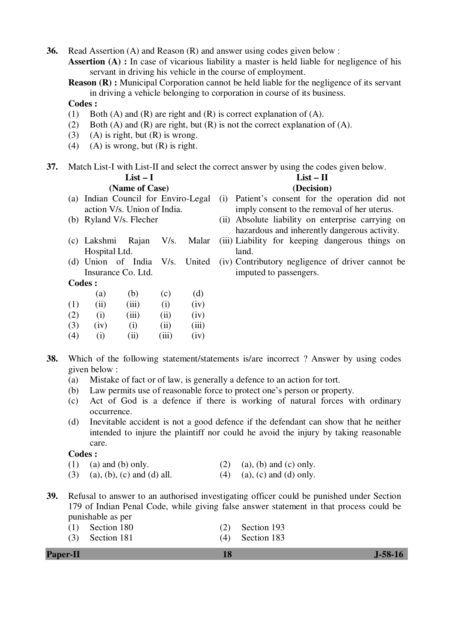**36.** Read Assertion (A) and Reason (R) and answer using codes given below :

Assertion (A) : In case of vicarious liability a master is held liable for negligence of his servant in driving his vehicle in the course of employment.

**Reason (R) :** Municipal Corporation cannot be held liable for the negligence of its servant in driving a vehicle belonging to corporation in course of its business.

#### **Codes :**

- (1) Both (A) and (R) are right and (R) is correct explanation of (A).
- (2) Both (A) and (R) are right, but  $(R)$  is not the correct explanation of  $(A)$ .
- (3) (A) is right, but  $(R)$  is wrong.
- (4) (A) is wrong, but  $(R)$  is right.

**37.** Match List-I with List-II and select the correct answer by using the codes given below.

| $List-I$                |               |                                     |       |        | $List - II$                                       |  |  |
|-------------------------|---------------|-------------------------------------|-------|--------|---------------------------------------------------|--|--|
| (Name of Case)          |               |                                     |       |        | (Decision)                                        |  |  |
|                         |               | (a) Indian Council for Enviro-Legal |       |        | (i) Patient's consent for the operation did not   |  |  |
|                         |               | action V/s. Union of India.         |       |        | imply consent to the removal of her uterus.       |  |  |
| (b) Ryland V/s. Flecher |               |                                     |       |        | (ii) Absolute liability on enterprise carrying on |  |  |
|                         |               |                                     |       |        | hazardous and inherently dangerous activity.      |  |  |
|                         | (c) Lakshmi   | Rajan                               | V/s.  | Malar  | (iii) Liability for keeping dangerous things on   |  |  |
|                         | Hospital Ltd. |                                     |       |        | land.                                             |  |  |
|                         |               | (d) Union of India                  | V/s.  | United | (iv) Contributory negligence of driver cannot be  |  |  |
| Insurance Co. Ltd.      |               |                                     |       |        | imputed to passengers.                            |  |  |
|                         | Codes :       |                                     |       |        |                                                   |  |  |
|                         | (a)           | (b)                                 | (c)   | (d)    |                                                   |  |  |
| (1)                     | (ii)          | (iii)                               | (i)   | (iv)   |                                                   |  |  |
| (2)                     | (i)           | (iii)                               | (ii)  | (iv)   |                                                   |  |  |
| (3)                     | (iv)          | (i)                                 | (ii)  | (iii)  |                                                   |  |  |
| (4)                     | (i)           | (ii)                                | (iii) | (iv)   |                                                   |  |  |

- **38.** Which of the following statement/statements is/are incorrect ? Answer by using codes given below :
	- (a) Mistake of fact or of law, is generally a defence to an action for tort.
	- (b) Law permits use of reasonable force to protect one's person or property.
	- (c) Act of God is a defence if there is working of natural forces with ordinary occurrence.
	- (d) Inevitable accident is not a good defence if the defendant can show that he neither intended to injure the plaintiff nor could he avoid the injury by taking reasonable care.

### **Codes :**

- (1) (a) and (b) only. (2) (a), (b) and (c) only.
- (3) (a), (b), (c) and (d) all. (4) (a), (c) and (d) only.
- **39.** Refusal to answer to an authorised investigating officer could be punished under Section 179 of Indian Penal Code, while giving false answer statement in that process could be punishable as per

| $(1)$ Section 180 |  |  | $(2)$ Section 193 |  |
|-------------------|--|--|-------------------|--|
|-------------------|--|--|-------------------|--|

(3) Section 181 (4) Section 183

| <b>Paper-II</b> | $J-58-16$ |
|-----------------|-----------|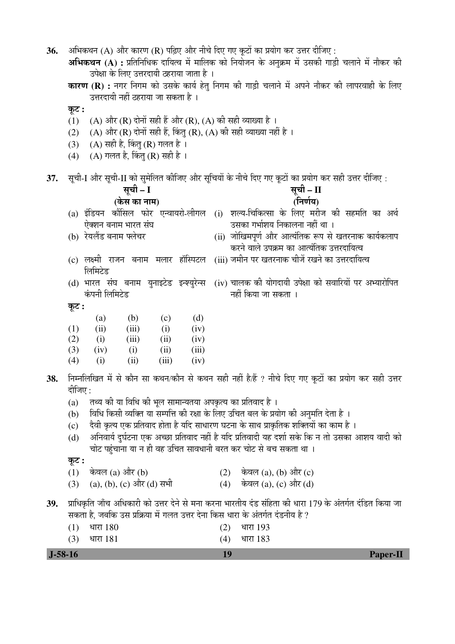**36.** †×³ÖÛú£Ö®Ö (A) †Öî¸ü ÛúÖ¸üÞÖ (R) ¯ÖלÌü‹ †Öî¸ü ®Öß"Öê פü‹ ÝÖ‹ Ûæú™üÖë ÛúÖ ¯ÖϵÖÖêÝÖ Ûú¸ü ˆ¢Ö¸ü ¤üßו֋ :

**अभिकथन (A) :** प्रतिनिधिक दायित्व में मालिक को नियोजन के अनुक्रम में उसकी गाड़ी चलाने में नौकर की उपेक्षा के लिए उत्तरदायी ठहराया जाता है ।

**कारण (R) :** नगर निगम को उसके कार्य हेतु निगम की गाड़ी चलाने में अपने नौकर की लापरवाही के लिए उत्तरदायी नहीं ठहराया जा सकता है ।

Ûæú™ü **:** 

- (1) (A) और (R) दोनों सही हैं और (R), (A) की सही व्याख्या है ।
- (2) (A) और (R) दोनों सही हैं, किंतु (R), (A) की सही व्याख्या नहीं है ।
- (3) (A) सही है, किंतु (R) गलत है ।
- (4)  $(A)$  गलत है, किंतू (R) सही है ।

(3) (iv) (i) (ii) (iii) (4) (i) (ii) (iii) (iv)

37. Äची-I और सची-II को समेलित कीजिए और सचियों के नीचे दिए गए कटों का प्रयोग कर सही उत्तर दीजिए :

|       |                                     | सूची – I |      |      | सूची – II |                                                                                                     |  |  |
|-------|-------------------------------------|----------|------|------|-----------|-----------------------------------------------------------------------------------------------------|--|--|
|       | (केस का नाम)                        |          |      |      |           | (निर्णय)                                                                                            |  |  |
|       |                                     |          |      |      |           | (a) इंडियन कौंसिल फोर एन्वायरो-लीगल (i) शल्य-चिकित्सा के लिए मरीज की सहमति का अर्थ                  |  |  |
|       | ऐक्शन बनाम भारत संघ                 |          |      |      |           | उसका गर्भाशय निकालना नहीं था ।                                                                      |  |  |
|       | (b) रेयलैंड बनाम फ्लेचर             |          |      |      |           | (ii) जोखिमपूर्ण और आत्यंतिक रूप से खतरनाक कार्यकलाप                                                 |  |  |
|       |                                     |          |      |      |           | करने वाले उपक्रम का आत्यंतिक उत्तरदायित्व                                                           |  |  |
|       | (c) लक्ष्मी राजन बनाम मलार हॉस्पिटल |          |      |      |           | (iii) जमीन पर खतरनाक चीजें रखने का उत्तरदायित्व                                                     |  |  |
|       | लिमिटेड                             |          |      |      |           |                                                                                                     |  |  |
|       |                                     |          |      |      |           | (d) भारत  संघ  बनाम  युनाइटेड  इन्श्युरेन्स  (iv) चालक की योगदायी उपेक्षा को सवारियों पर अभ्यारोपित |  |  |
|       | कंपनी लिमिटेड                       |          |      |      |           | नहीं किया जा सकता ।                                                                                 |  |  |
| कूट : |                                     |          |      |      |           |                                                                                                     |  |  |
|       | (a)                                 | (b)      | (c)  | (d)  |           |                                                                                                     |  |  |
| (1)   | (ii)                                | (iii)    | (i)  | (iv) |           |                                                                                                     |  |  |
| (2)   | (i)                                 | (iii)    | (ii) | (iv) |           |                                                                                                     |  |  |

- 38. Fiम्नलिखित में से कौन सा कथन/कौन से कथन सही नहीं है/हैं ? नीचे दिए गए कूटों का प्रयोग कर सही उत्तर दीजिए $\colon$ 
	- (a)  $\vec{a}$  तथ्य की या विधि की भुल सामान्यतया अपकृत्य का प्रतिवाद है ।
	- (b) विधि किसी व्यक्ति या सम्पत्ति की रक्षा के लिए उचित बल के प्रयोग की अनुमति देता है ।
	- (c) देवी कृत्य एक प्रतिवाद होता है यदि साधारण घटना के साथ प्राकृतिक शक्तियों का काम है ।
	- (d) अनिवार्य दुर्घटना एक अच्छा प्रतिवाद नहीं है यदि प्रतिवादी यह दर्शा सके कि न तो उसका आशय वादी को चोट पहंचाना या न ही वह उचित सावधानी बरत कर चोट से बच सकता था ।

Ûæú™ü **:** 

- (1) केवल (a) और (b)  $(2)$  केवल (a), (b) और (c)
- (3) (a), (b), (c) और (d) सभी  $(4)$  केवल (a), (c) और (d)
- 39. प्राधिकृति जाँच अधिकारी को उत्तर देने से मना करना भारतीय दंड संहिता की धारा 179 के अंतर्गत दंडित किया जा सकता है. जबकि उस प्रक्रिया में गलत उत्तर देना किस धारा के अंतर्गत दंडनीय है ?
	- $(1)$   $\frac{180}{(2)}$   $\frac{180}{(2)}$   $\frac{180}{(2)}$   $\frac{180}{(2)}$   $\frac{180}{(2)}$

| $J-58-16$       |                 | <b>Paper-II</b> |
|-----------------|-----------------|-----------------|
| धारा 181<br>(3) | धारा 183<br>(4) |                 |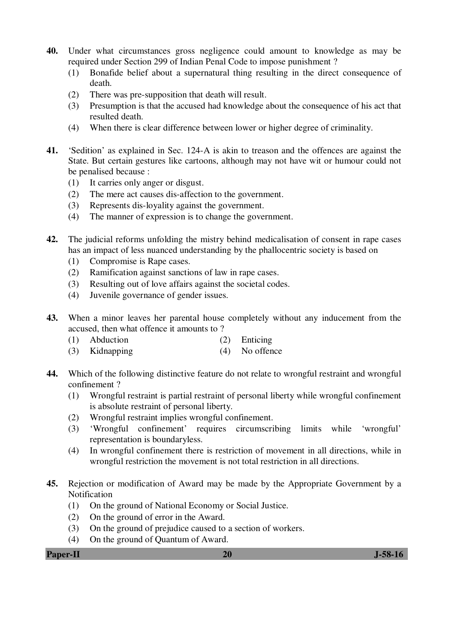- **40.** Under what circumstances gross negligence could amount to knowledge as may be required under Section 299 of Indian Penal Code to impose punishment ?
	- (1) Bonafide belief about a supernatural thing resulting in the direct consequence of death.
	- (2) There was pre-supposition that death will result.
	- (3) Presumption is that the accused had knowledge about the consequence of his act that resulted death.
	- (4) When there is clear difference between lower or higher degree of criminality.
- **41.** 'Sedition' as explained in Sec. 124-A is akin to treason and the offences are against the State. But certain gestures like cartoons, although may not have wit or humour could not be penalised because :
	- (1) It carries only anger or disgust.
	- (2) The mere act causes dis-affection to the government.
	- (3) Represents dis-loyality against the government.
	- (4) The manner of expression is to change the government.
- **42.** The judicial reforms unfolding the mistry behind medicalisation of consent in rape cases has an impact of less nuanced understanding by the phallocentric society is based on
	- (1) Compromise is Rape cases.
	- (2) Ramification against sanctions of law in rape cases.
	- (3) Resulting out of love affairs against the societal codes.
	- (4) Juvenile governance of gender issues.
- **43.** When a minor leaves her parental house completely without any inducement from the accused, then what offence it amounts to ?
	- (1) Abduction (2) Enticing
	- (3) Kidnapping (4) No offence
- **44.** Which of the following distinctive feature do not relate to wrongful restraint and wrongful confinement ?
	- (1) Wrongful restraint is partial restraint of personal liberty while wrongful confinement is absolute restraint of personal liberty.
	- (2) Wrongful restraint implies wrongful confinement.
	- (3) 'Wrongful confinement' requires circumscribing limits while 'wrongful' representation is boundaryless.
	- (4) In wrongful confinement there is restriction of movement in all directions, while in wrongful restriction the movement is not total restriction in all directions.
- **45.** Rejection or modification of Award may be made by the Appropriate Government by a Notification
	- (1) On the ground of National Economy or Social Justice.
	- (2) On the ground of error in the Award.
	- (3) On the ground of prejudice caused to a section of workers.
	- (4) On the ground of Quantum of Award.

**Paper-II 20 J-58-16**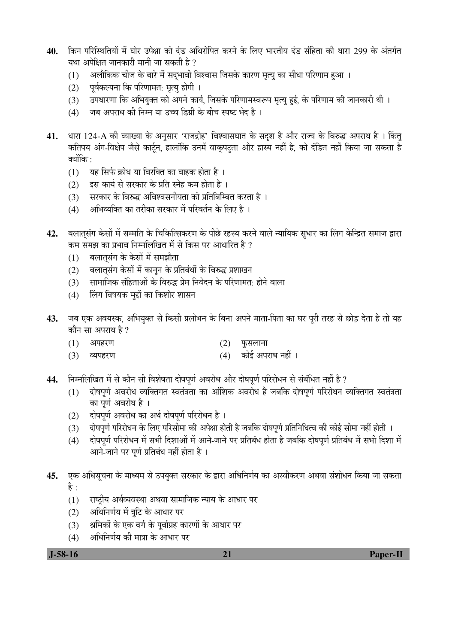- 40. किन परिस्थितियों में घोर उपेक्षा को दंड अधिरोपित करने के लिए भारतीय दंड संहिता की धारा 299 के अंतर्गत यथा अपेक्षित जानकारी मानी जा सकती है ?
	- (1) अलौकिक चीज के बारे में सद्भावी विश्वास जिसके कारण मृत्यु का सीधा परिणाम हुआ ।
	- (2) पूर्वकल्पना कि परिणामत: मृत्यू होगी ।
	- (3) उपधारणा कि अभियुक्त को अपने कार्य, जिसके परिणामस्वरूप मृत्यु हुई, के परिणाम की जानकारी थी ।
	- (4) जब अपराध की निम्न या उच्च डिग्री के बीच स्पष्ट भेद है ।
- 41. धारा 124-A की व्याख्या के अनुसार 'राजद्रोह' विश्वासघात के सदृश है और राज्य के विरुद्ध अपराध है । किंत् ँ कतिपय अंग-विक्षेप जैसे कार्टून, हालांकि उनमें वाकुपट्ता और हास्य नहीं है, को दंडित नहीं किया जा सकता है क्योंकि $\cdot$ 
	- (1) यह सिर्फ क्रोध या विरक्ति का वाहक होता है।
	- $(2)$   $\,$  इस कार्य से सरकार के प्रति स्नेह कम होता है ।
	- (3) सरकार के विरुद्ध अविश्वसनीयता को प्रतिबिम्बित करता है ।
	- $(4)$   $\,$  अभिव्यक्ति का तरीका सरकार में परिवर्तन के लिए है ।
- 42. बलातसंग केसों में सम्मति के चिकित्सिकरण के पीछे रहस्य करने वाले न्यायिक सुधार का लिंग केन्द्रित समाज द्वारा कम समझ का प्रभाव निम्नलिखित में से किस पर आधारित है ?
	- (1) बलातसंग के केसों में समझौता
	- (2) बलातसंग केसों में कानून के प्रतिबंधों के विरुद्ध प्रशाखन
	- (3) सामाजिक संहिताओं के विरुद्ध प्रेम निवेदन के परिणामत: होने वाला
	- (4) लिंग विषयक मुद्दों का किशोर शासन
- 43. जब एक अवयस्क, अभियुक्त से किसी प्रलोभन के बिना अपने माता-पिता का घर पूरी तरह से छोड़ देता है तो यह कौन सा अपराध है ?
	- $(1)$  अपहरण  $(2)$  फुसलाना
	- (3) व्यपहरण (4) कोई अपराध नहीं ।
- 44. Fiम्नलिखित में से कौन सी विशेषता दोषपूर्ण अवरोध और दोषपूर्ण परिरोधन से संबंधित नहीं है ?
	- $(1)$  दोषपूर्ण अवरोध व्यक्तिगत स्वतंत्रता का आंशिक अवरोध है जबकि दोषपूर्ण परिरोधन व्यक्तिगत स्वतंत्रता का पूर्ण अवरोध है ।
	- (2) दोषपर्ण अवरोध का अर्थ दोषपर्ण परिरोधन है।
	- (3) दोषपूर्ण परिरोधन के लिए परिसीमा की अपेक्षा होती है जबकि दोषपूर्ण प्रतिनिधित्व की कोई सीमा नहीं होती ।
	- (4) दोषपूर्ण परिरोधन में सभी दिशाओं में आने-जाने पर प्रतिबंध होता है जबकि दोषपूर्ण प्रतिबंध में सभी दिशा में आने-जाने पर पूर्ण प्रतिबंध नहीं होता है ।
- 45. एक अधिसचना के माध्यम से उपयक्त सरकार के द्वारा अधिनिर्णय का अस्वीकरण अथवा संशोधन किया जा सकता है $\cdot$ 
	- $(1)$  ) राष्टीय अर्थव्यवस्था अथवा सामाजिक न्याय के आधार पर
	- $(2)$  अधिनिर्णय में त्रुटि के आधार पर
	- $(3)$  श्रमिकों के एक वर्ग के पूर्वाग्रह कारणों के आधार पर
	- (4) अधिनिर्णय की मात्रा के आधार पर

 **J-58-16 21 Paper-II**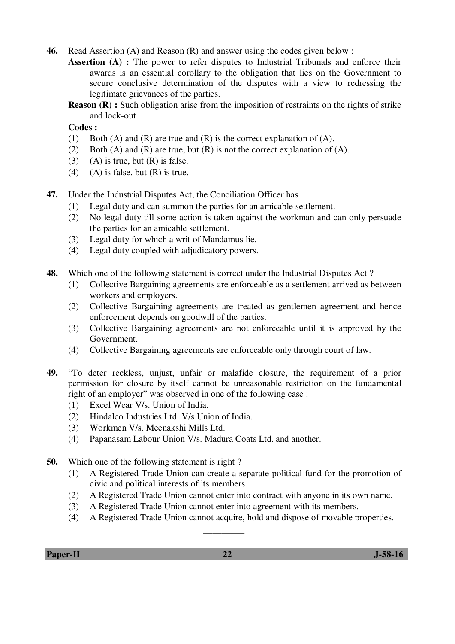**46.** Read Assertion (A) and Reason (R) and answer using the codes given below :

**Assertion (A) :** The power to refer disputes to Industrial Tribunals and enforce their awards is an essential corollary to the obligation that lies on the Government to secure conclusive determination of the disputes with a view to redressing the legitimate grievances of the parties.

**Reason (R) :** Such obligation arise from the imposition of restraints on the rights of strike and lock-out.

 **Codes :** 

- (1) Both (A) and (R) are true and (R) is the correct explanation of (A).
- (2) Both (A) and (R) are true, but (R) is not the correct explanation of (A).
- (3) (A) is true, but  $(R)$  is false.
- (4) (A) is false, but  $(R)$  is true.
- **47.** Under the Industrial Disputes Act, the Conciliation Officer has
	- (1) Legal duty and can summon the parties for an amicable settlement.
	- (2) No legal duty till some action is taken against the workman and can only persuade the parties for an amicable settlement.
	- (3) Legal duty for which a writ of Mandamus lie.
	- (4) Legal duty coupled with adjudicatory powers.
- **48.** Which one of the following statement is correct under the Industrial Disputes Act ?
	- (1) Collective Bargaining agreements are enforceable as a settlement arrived as between workers and employers.
	- (2) Collective Bargaining agreements are treated as gentlemen agreement and hence enforcement depends on goodwill of the parties.
	- (3) Collective Bargaining agreements are not enforceable until it is approved by the Government.
	- (4) Collective Bargaining agreements are enforceable only through court of law.
- **49.** "To deter reckless, unjust, unfair or malafide closure, the requirement of a prior permission for closure by itself cannot be unreasonable restriction on the fundamental right of an employer" was observed in one of the following case :
	- (1) Excel Wear V/s. Union of India.
	- (2) Hindalco Industries Ltd. V/s Union of India.
	- (3) Workmen V/s. Meenakshi Mills Ltd.
	- (4) Papanasam Labour Union V/s. Madura Coats Ltd. and another.
- **50.** Which one of the following statement is right ?
	- (1) A Registered Trade Union can create a separate political fund for the promotion of civic and political interests of its members.
	- (2) A Registered Trade Union cannot enter into contract with anyone in its own name.
	- (3) A Registered Trade Union cannot enter into agreement with its members.
	- (4) A Registered Trade Union cannot acquire, hold and dispose of movable properties.

 $\overline{\phantom{a}}$   $\overline{\phantom{a}}$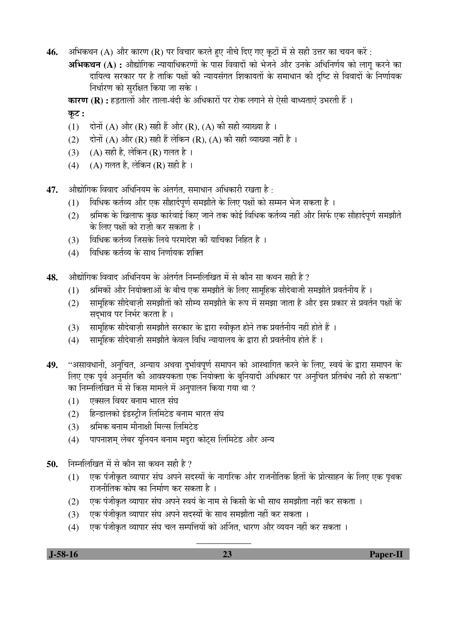- 46. अभिकथन (A) और कारण (R) पर विचार करते हुए नीचे दिए गए कूटों में से सही उत्तर का चयन करें :
	- **अभिकथन (A) :** औद्योगिक न्यायाधिकरणों के पास विवादों को भेजने और उनके अधिनिर्णय को लाग करने का दायित्व सरकार पर है ताकि पक्षों की न्यायसंगत शिकायतों के समाधान की दृष्टि से विवादों के निर्णायक निर्धारण को सुरक्षित किया जा सके ।

**कारण (R) :** हड़तालों और ताला-बंदी के अधिकारों पर रोक लगाने से ऐसी बाध्यताएं उभरती हैं ।

# कूट :

- (1)  $\vec{r}$  दोनों (A) और (R) सही हैं और (R), (A) की सही व्याख्या है ।
- $(2)$  and  $(A)$  और  $(R)$  सही हैं लेकिन  $(R)$ ,  $(A)$  की सही व्याख्या नहीं है ।
- (3) (A) सही है, लेकिन (R) गलत है।
- (4) (A) गलत है, लेकिन (R) सही है।

47. औद्योगिक विवाद अधिनियम के अंतर्गत, समाधान अधिकारी रखता है :

- (1) विधिक कर्तव्य और एक सौहार्दपूर्ण समझौते के लिए पक्षों को सम्मन भेज सकता है ।
- (2) श्रमिक के खिलाफ कुछ कार्रवाई किए जाने तक कोई विधिक कर्तव्य नहीं और सिर्फ एक सौहार्दपूर्ण समझौते के लिए पक्षों को राजी कर सकता है ।
- (3) विधिक कर्तव्य जिसके लिये परमादेश की याचिका निहित है ।
- $(4)$  विधिक कर्तव्य के साथ निर्णायक शक्ति
- 48. औद्योगिक विवाद अधिनियम के अंतर्गत निम्नलिखित में से कौन सा कथन सही है ?
	- (1) Ağumö और नियोक्ताओं के बीच एक समझौते के लिए सामहिक सौदेबाजी समझौते प्रवर्तनीय हैं)।
	- (2) सामहिक सौदेबाज़ी समझौतों को सौम्य समझौते के रूप में समझा जाता है और इस प्रकार से प्रवर्तन पक्षों के सदभाव पर निर्भर करता है ।
	- (3) सामूहिक सौदेबाज़ी समझौते सरकार के द्वारा स्वीकृत होने तक प्रवर्तनीय नहीं होते हैं ।
	- (4) सामहिक सौदेबाजी समझौते केवल विधि न्यायालय के द्वारा ही प्रवर्तनीय होते हैं ।
- 49. "असावधानी, अनुचित, अन्याय अथवा दुर्भावपूर्ण समापन को आस्थागित करने के लिए, स्वयं के द्वारा समापन के लिए एक पूर्व अनुमति की आवश्यकता एक नियोक्ता के बुनियादी अधिकार पर अनुचित प्रतिबंध नही हो सकता" <u>का निम्नलिखित में से किस मामले में अनपालन किया गया था ?</u>
	- (1) एक्सल वियर बनाम भारत संघ
	- (2) हिन्डालको इंडस्ट्रीज लिमिटेड बनाम भारत संघ
	- $(3)$  श्रमिक बनाम मीनाक्षी मिल्स लिमिटेड
	- (4) पापनाशम लेबर यनियन बनाम मदरा कोटस लिमिटेड और अन्य
- 50. निम्नलिखित में से कौन सा कथन सही है ?
	- (1) एक पंजीकृत व्यापार संघ अपने सदस्यों के नागरिक और राजनीतिक हितों के प्रोत्साहन के लिए एक पृथक राजनीतिक कोष का निर्माण कर सकता है ।
	- (2) एक पंजीकृत व्यापार संघ अपने स्वयं के नाम से किसी के भी साथ समझौता नहीं कर सकता ।
	- (3) एक पंजीकृत व्यापार संघ अपने सदस्यों के साथ समझौता नहीं कर सकता ।
	- (4) एक पंजीकृत व्यापार संघ चल सम्पत्तियों को अर्जित, धारण और व्ययन नहीं कर सकता ।

\_\_\_\_\_\_\_\_\_\_\_\_